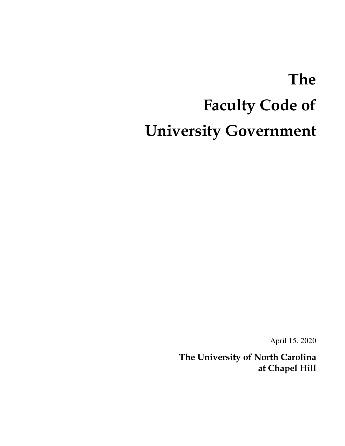# **The Faculty Code of University Government**

April 15, 2020

**The University of North Carolina at Chapel Hill**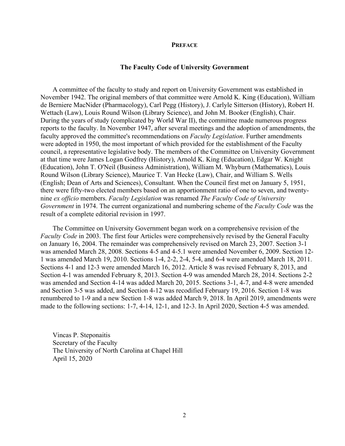#### **PREFACE**

#### **The Faculty Code of University Government**

A committee of the faculty to study and report on University Government was established in November 1942. The original members of that committee were Arnold K. King (Education), William de Berniere MacNider (Pharmacology), Carl Pegg (History), J. Carlyle Sitterson (History), Robert H. Wettach (Law), Louis Round Wilson (Library Science), and John M. Booker (English), Chair. During the years of study (complicated by World War II), the committee made numerous progress reports to the faculty. In November 1947, after several meetings and the adoption of amendments, the faculty approved the committee's recommendations on *Faculty Legislation*. Further amendments were adopted in 1950, the most important of which provided for the establishment of the Faculty council, a representative legislative body. The members of the Committee on University Government at that time were James Logan Godfrey (History), Arnold K. King (Education), Edgar W. Knight (Education), John T. O'Neil (Business Administration), William M. Whyburn (Mathematics), Louis Round Wilson (Library Science), Maurice T. Van Hecke (Law), Chair, and William S. Wells (English; Dean of Arts and Sciences), Consultant. When the Council first met on January 5, 1951, there were fifty-two elected members based on an apportionment ratio of one to seven, and twentynine *ex officio* members. *Faculty Legislation* was renamed *The Faculty Code of University Government* in 1974. The current organizational and numbering scheme of the *Faculty Code* was the result of a complete editorial revision in 1997.

The Committee on University Government began work on a comprehensive revision of the *Faculty Code* in 2003. The first four Articles were comprehensively revised by the General Faculty on January 16, 2004. The remainder was comprehensively revised on March 23, 2007. Section 3-1 was amended March 28, 2008. Sections 4-5 and 4-5.1 were amended November 6, 2009. Section 12- 1 was amended March 19, 2010. Sections 1-4, 2-2, 2-4, 5-4, and 6-4 were amended March 18, 2011. Sections 4-1 and 12-3 were amended March 16, 2012. Article 8 was revised February 8, 2013, and Section 4-1 was amended February 8, 2013. Section 4-9 was amended March 28, 2014. Sections 2-2 was amended and Section 4-14 was added March 20, 2015. Sections 3-1, 4-7, and 4-8 were amended and Section 3-5 was added, and Section 4-12 was recodified February 19, 2016. Section 1-8 was renumbered to 1-9 and a new Section 1-8 was added March 9, 2018. In April 2019, amendments were made to the following sections: 1-7, 4-14, 12-1, and 12-3. In April 2020, Section 4-5 was amended.

Vincas P. Steponaitis Secretary of the Faculty The University of North Carolina at Chapel Hill April 15, 2020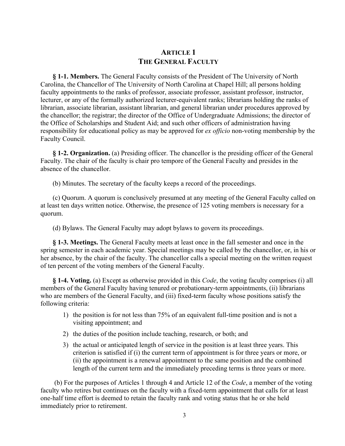# **ARTICLE 1 THE GENERAL FACULTY**

**§ 1-1. Members.** The General Faculty consists of the President of The University of North Carolina, the Chancellor of The University of North Carolina at Chapel Hill; all persons holding faculty appointments to the ranks of professor, associate professor, assistant professor, instructor, lecturer, or any of the formally authorized lecturer-equivalent ranks; librarians holding the ranks of librarian, associate librarian, assistant librarian, and general librarian under procedures approved by the chancellor; the registrar; the director of the Office of Undergraduate Admissions; the director of the Office of Scholarships and Student Aid; and such other officers of administration having responsibility for educational policy as may be approved for *ex officio* non-voting membership by the Faculty Council.

**§ 1-2. Organization.** (a) Presiding officer. The chancellor is the presiding officer of the General Faculty. The chair of the faculty is chair pro tempore of the General Faculty and presides in the absence of the chancellor.

(b) Minutes. The secretary of the faculty keeps a record of the proceedings.

(c) Quorum. A quorum is conclusively presumed at any meeting of the General Faculty called on at least ten days written notice. Otherwise, the presence of 125 voting members is necessary for a quorum.

(d) Bylaws. The General Faculty may adopt bylaws to govern its proceedings.

**§ 1-3. Meetings.** The General Faculty meets at least once in the fall semester and once in the spring semester in each academic year. Special meetings may be called by the chancellor, or, in his or her absence, by the chair of the faculty. The chancellor calls a special meeting on the written request of ten percent of the voting members of the General Faculty.

**§ 1-4. Voting.** (a) Except as otherwise provided in this *Code*, the voting faculty comprises (i) all members of the General Faculty having tenured or probationary-term appointments, (ii) librarians who are members of the General Faculty, and (iii) fixed-term faculty whose positions satisfy the following criteria:

- 1) the position is for not less than 75% of an equivalent full-time position and is not a visiting appointment; and
- 2) the duties of the position include teaching, research, or both; and
- 3) the actual or anticipated length of service in the position is at least three years. This criterion is satisfied if (i) the current term of appointment is for three years or more, or (ii) the appointment is a renewal appointment to the same position and the combined length of the current term and the immediately preceding terms is three years or more.

(b) For the purposes of Articles 1 through 4 and Article 12 of the *Code*, a member of the voting faculty who retires but continues on the faculty with a fixed-term appointment that calls for at least one-half time effort is deemed to retain the faculty rank and voting status that he or she held immediately prior to retirement.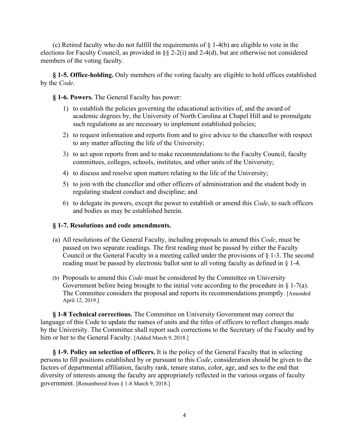(c) Retired faculty who do not fulfill the requirements of § 1-4(b) are eligible to vote in the elections for Faculty Council, as provided in §§ 2-2(i) and 2-4(d), but are otherwise not considered members of the voting faculty.

## **§ 1-5. Office-holding.** Only members of the voting faculty are eligible to hold offices established by the *Code*.

## **§ 1-6. Powers.** The General Faculty has power:

- 1) to establish the policies governing the educational activities of, and the award of academic degrees by, the University of North Carolina at Chapel Hill and to promulgate such regulations as are necessary to implement established policies;
- 2) to request information and reports from and to give advice to the chancellor with respect to any matter affecting the life of the University;
- 3) to act upon reports from and to make recommendations to the Faculty Council, faculty committees, colleges, schools, institutes, and other units of the University;
- 4) to discuss and resolve upon matters relating to the life of the University;
- 5) to join with the chancellor and other officers of administration and the student body in regulating student conduct and discipline; and
- 6) to delegate its powers, except the power to establish or amend this *Code*, to such officers and bodies as may be established herein.

#### **§ 1-7. Resolutions and code amendments.**

- (a) All resolutions of the General Faculty, including proposals to amend this *Code*, must be passed on two separate readings. The first reading must be passed by either the Faculty Council or the General Faculty in a meeting called under the provisions of § 1-3. The second reading must be passed by electronic ballot sent to all voting faculty as defined in § 1-4.
- (b) Proposals to amend this *Code* must be considered by the Committee on University Government before being brought to the initial vote according to the procedure in  $\S$  1-7(a). The Committee considers the proposal and reports its recommendations promptly. [Amended April 12, 2019.]

**§ 1-8 Technical corrections.** The Committee on University Government may correct the language of this Code to update the names of units and the titles of officers to reflect changes made by the University. The Committee shall report such corrections to the Secretary of the Faculty and by him or her to the General Faculty. [Added March 9, 2018.]

**§ 1-9. Policy on selection of officers.** It is the policy of the General Faculty that in selecting persons to fill positions established by or pursuant to this *Code*, consideration should be given to the factors of departmental affiliation, faculty rank, tenure status, color, age, and sex to the end that diversity of interests among the faculty are appropriately reflected in the various organs of faculty government. [Renumbered from § 1-8 March 9, 2018.]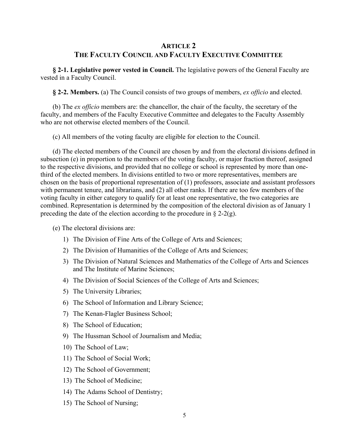# **ARTICLE 2 THE FACULTY COUNCIL AND FACULTY EXECUTIVE COMMITTEE**

**§ 2-1. Legislative power vested in Council.** The legislative powers of the General Faculty are vested in a Faculty Council.

**§ 2-2. Members.** (a) The Council consists of two groups of members, *ex officio* and elected.

(b) The *ex officio* members are: the chancellor, the chair of the faculty, the secretary of the faculty, and members of the Faculty Executive Committee and delegates to the Faculty Assembly who are not otherwise elected members of the Council.

(c) All members of the voting faculty are eligible for election to the Council.

(d) The elected members of the Council are chosen by and from the electoral divisions defined in subsection (e) in proportion to the members of the voting faculty, or major fraction thereof, assigned to the respective divisions, and provided that no college or school is represented by more than onethird of the elected members. In divisions entitled to two or more representatives, members are chosen on the basis of proportional representation of (1) professors, associate and assistant professors with permanent tenure, and librarians, and (2) all other ranks. If there are too few members of the voting faculty in either category to qualify for at least one representative, the two categories are combined. Representation is determined by the composition of the electoral division as of January 1 preceding the date of the election according to the procedure in  $\S 2-2(g)$ .

(e) The electoral divisions are:

- 1) The Division of Fine Arts of the College of Arts and Sciences;
- 2) The Division of Humanities of the College of Arts and Sciences;
- 3) The Division of Natural Sciences and Mathematics of the College of Arts and Sciences and The Institute of Marine Sciences;
- 4) The Division of Social Sciences of the College of Arts and Sciences;
- 5) The University Libraries;
- 6) The School of Information and Library Science;
- 7) The Kenan-Flagler Business School;
- 8) The School of Education;
- 9) The Hussman School of Journalism and Media;
- 10) The School of Law;
- 11) The School of Social Work;
- 12) The School of Government;
- 13) The School of Medicine;
- 14) The Adams School of Dentistry;
- 15) The School of Nursing;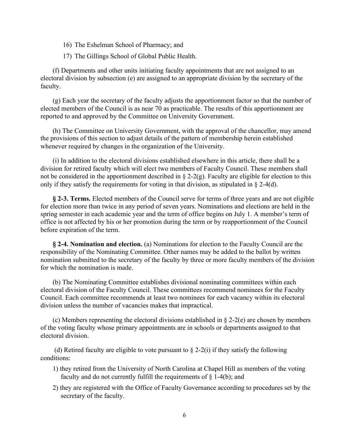- 16) The Eshelman School of Pharmacy; and
- 17) The Gillings School of Global Public Health.

(f) Departments and other units initiating faculty appointments that are not assigned to an electoral division by subsection (e) are assigned to an appropriate division by the secretary of the faculty.

(g) Each year the secretary of the faculty adjusts the apportionment factor so that the number of elected members of the Council is as near 70 as practicable. The results of this apportionment are reported to and approved by the Committee on University Government.

(h) The Committee on University Government, with the approval of the chancellor, may amend the provisions of this section to adjust details of the pattern of membership herein established whenever required by changes in the organization of the University.

(i) In addition to the electoral divisions established elsewhere in this article, there shall be a division for retired faculty which will elect two members of Faculty Council. These members shall not be considered in the apportionment described in  $\S 2-2(g)$ . Faculty are eligible for election to this only if they satisfy the requirements for voting in that division, as stipulated in  $\S$  2-4(d).

**§ 2-3. Terms.** Elected members of the Council serve for terms of three years and are not eligible for election more than twice in any period of seven years. Nominations and elections are held in the spring semester in each academic year and the term of office begins on July 1. A member's term of office is not affected by his or her promotion during the term or by reapportionment of the Council before expiration of the term.

**§ 2-4. Nomination and election.** (a) Nominations for election to the Faculty Council are the responsibility of the Nominating Committee. Other names may be added to the ballot by written nomination submitted to the secretary of the faculty by three or more faculty members of the division for which the nomination is made.

(b) The Nominating Committee establishes divisional nominating committees within each electoral division of the Faculty Council. These committees recommend nominees for the Faculty Council. Each committee recommends at least two nominees for each vacancy within its electoral division unless the number of vacancies makes that impractical.

(c) Members representing the electoral divisions established in  $\S$  2-2(e) are chosen by members of the voting faculty whose primary appointments are in schools or departments assigned to that electoral division.

(d) Retired faculty are eligible to vote pursuant to  $\S$  2-2(i) if they satisfy the following conditions:

- 1) they retired from the University of North Carolina at Chapel Hill as members of the voting faculty and do not currently fulfill the requirements of  $\S$  1-4(b); and
- 2) they are registered with the Office of Faculty Governance according to procedures set by the secretary of the faculty.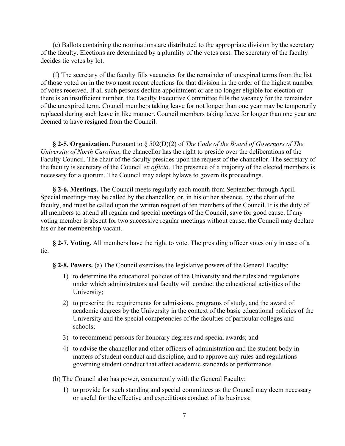(e) Ballots containing the nominations are distributed to the appropriate division by the secretary of the faculty. Elections are determined by a plurality of the votes cast. The secretary of the faculty decides tie votes by lot.

(f) The secretary of the faculty fills vacancies for the remainder of unexpired terms from the list of those voted on in the two most recent elections for that division in the order of the highest number of votes received. If all such persons decline appointment or are no longer eligible for election or there is an insufficient number, the Faculty Executive Committee fills the vacancy for the remainder of the unexpired term. Council members taking leave for not longer than one year may be temporarily replaced during such leave in like manner. Council members taking leave for longer than one year are deemed to have resigned from the Council.

**§ 2-5. Organization.** Pursuant to § 502(D)(2) of *The Code of the Board of Governors of The University of North Carolina*, the chancellor has the right to preside over the deliberations of the Faculty Council. The chair of the faculty presides upon the request of the chancellor. The secretary of the faculty is secretary of the Council *ex officio*. The presence of a majority of the elected members is necessary for a quorum. The Council may adopt bylaws to govern its proceedings.

**§ 2-6. Meetings.** The Council meets regularly each month from September through April. Special meetings may be called by the chancellor, or, in his or her absence, by the chair of the faculty, and must be called upon the written request of ten members of the Council. It is the duty of all members to attend all regular and special meetings of the Council, save for good cause. If any voting member is absent for two successive regular meetings without cause, the Council may declare his or her membership vacant.

**§ 2-7. Voting.** All members have the right to vote. The presiding officer votes only in case of a tie.

**§ 2-8. Powers.** (a) The Council exercises the legislative powers of the General Faculty:

- 1) to determine the educational policies of the University and the rules and regulations under which administrators and faculty will conduct the educational activities of the University;
- 2) to prescribe the requirements for admissions, programs of study, and the award of academic degrees by the University in the context of the basic educational policies of the University and the special competencies of the faculties of particular colleges and schools;
- 3) to recommend persons for honorary degrees and special awards; and
- 4) to advise the chancellor and other officers of administration and the student body in matters of student conduct and discipline, and to approve any rules and regulations governing student conduct that affect academic standards or performance.

(b) The Council also has power, concurrently with the General Faculty:

1) to provide for such standing and special committees as the Council may deem necessary or useful for the effective and expeditious conduct of its business;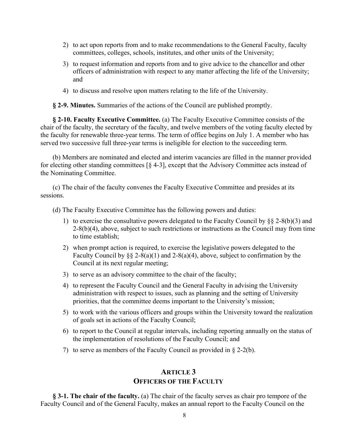- 2) to act upon reports from and to make recommendations to the General Faculty, faculty committees, colleges, schools, institutes, and other units of the University;
- 3) to request information and reports from and to give advice to the chancellor and other officers of administration with respect to any matter affecting the life of the University; and
- 4) to discuss and resolve upon matters relating to the life of the University.

**§ 2-9. Minutes.** Summaries of the actions of the Council are published promptly.

**§ 2-10. Faculty Executive Committee.** (a) The Faculty Executive Committee consists of the chair of the faculty, the secretary of the faculty, and twelve members of the voting faculty elected by the faculty for renewable three-year terms. The term of office begins on July 1. A member who has served two successive full three-year terms is ineligible for election to the succeeding term.

(b) Members are nominated and elected and interim vacancies are filled in the manner provided for electing other standing committees  $\lceil \S 4-3 \rceil$ , except that the Advisory Committee acts instead of the Nominating Committee.

(c) The chair of the faculty convenes the Faculty Executive Committee and presides at its sessions.

(d) The Faculty Executive Committee has the following powers and duties:

- 1) to exercise the consultative powers delegated to the Faculty Council by  $\S$  2-8(b)(3) and  $2-8(b)(4)$ , above, subject to such restrictions or instructions as the Council may from time to time establish;
- 2) when prompt action is required, to exercise the legislative powers delegated to the Faculty Council by  $\S\S 2-8(a)(1)$  and 2-8(a)(4), above, subject to confirmation by the Council at its next regular meeting;
- 3) to serve as an advisory committee to the chair of the faculty;
- 4) to represent the Faculty Council and the General Faculty in advising the University administration with respect to issues, such as planning and the setting of University priorities, that the committee deems important to the University's mission;
- 5) to work with the various officers and groups within the University toward the realization of goals set in actions of the Faculty Council;
- 6) to report to the Council at regular intervals, including reporting annually on the status of the implementation of resolutions of the Faculty Council; and
- 7) to serve as members of the Faculty Council as provided in § 2-2(b).

## **ARTICLE 3 OFFICERS OF THE FACULTY**

**§ 3-1. The chair of the faculty.** (a) The chair of the faculty serves as chair pro tempore of the Faculty Council and of the General Faculty, makes an annual report to the Faculty Council on the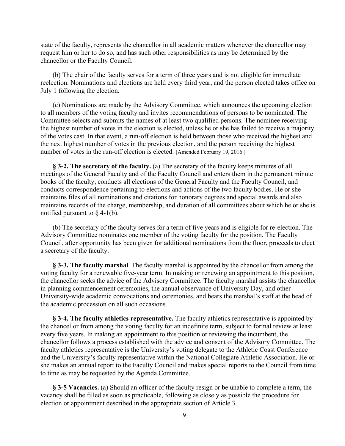state of the faculty, represents the chancellor in all academic matters whenever the chancellor may request him or her to do so, and has such other responsibilities as may be determined by the chancellor or the Faculty Council.

(b) The chair of the faculty serves for a term of three years and is not eligible for immediate reelection. Nominations and elections are held every third year, and the person elected takes office on July 1 following the election.

(c) Nominations are made by the Advisory Committee, which announces the upcoming election to all members of the voting faculty and invites recommendations of persons to be nominated. The Committee selects and submits the names of at least two qualified persons. The nominee receiving the highest number of votes in the election is elected, unless he or she has failed to receive a majority of the votes cast. In that event, a run-off election is held between those who received the highest and the next highest number of votes in the previous election, and the person receiving the highest number of votes in the run-off election is elected. [Amended February 19, 2016.]

**§ 3-2. The secretary of the faculty.** (a) The secretary of the faculty keeps minutes of all meetings of the General Faculty and of the Faculty Council and enters them in the permanent minute books of the faculty, conducts all elections of the General Faculty and the Faculty Council, and conducts correspondence pertaining to elections and actions of the two faculty bodies. He or she maintains files of all nominations and citations for honorary degrees and special awards and also maintains records of the charge, membership, and duration of all committees about which he or she is notified pursuant to  $\S$  4-1(b).

(b) The secretary of the faculty serves for a term of five years and is eligible for re-election. The Advisory Committee nominates one member of the voting faculty for the position. The Faculty Council, after opportunity has been given for additional nominations from the floor, proceeds to elect a secretary of the faculty.

**§ 3-3. The faculty marshal**. The faculty marshal is appointed by the chancellor from among the voting faculty for a renewable five-year term. In making or renewing an appointment to this position, the chancellor seeks the advice of the Advisory Committee. The faculty marshal assists the chancellor in planning commencement ceremonies, the annual observance of University Day, and other University-wide academic convocations and ceremonies, and bears the marshal's staff at the head of the academic procession on all such occasions.

**§ 3-4. The faculty athletics representative.** The faculty athletics representative is appointed by the chancellor from among the voting faculty for an indefinite term, subject to formal review at least every five years. In making an appointment to this position or reviewing the incumbent, the chancellor follows a process established with the advice and consent of the Advisory Committee. The faculty athletics representative is the University's voting delegate to the Athletic Coast Conference and the University's faculty representative within the National Collegiate Athletic Association. He or she makes an annual report to the Faculty Council and makes special reports to the Council from time to time as may be requested by the Agenda Committee.

**§ 3-5 Vacancies.** (a) Should an officer of the faculty resign or be unable to complete a term, the vacancy shall be filled as soon as practicable, following as closely as possible the procedure for election or appointment described in the appropriate section of Article 3.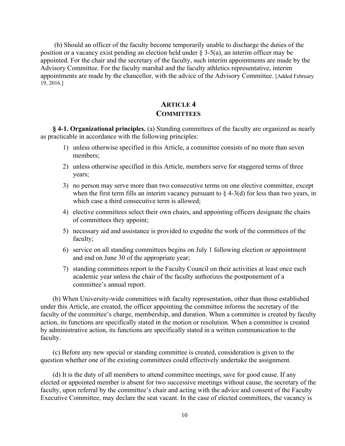(b) Should an officer of the faculty become temporarily unable to discharge the duties of the position or a vacancy exist pending an election held under § 3-5(a), an interim officer may be appointed. For the chair and the secretary of the faculty, such interim appointments are made by the Advisory Committee. For the faculty marshal and the faculty athletics representative, interim appointments are made by the chancellor, with the advice of the Advisory Committee. [Added February 19, 2016.]

# **ARTICLE 4 COMMITTEES**

**§ 4-1. Organizational principles.** (a) Standing committees of the faculty are organized as nearly as practicable in accordance with the following principles:

- 1) unless otherwise specified in this Article, a committee consists of no more than seven members;
- 2) unless otherwise specified in this Article, members serve for staggered terms of three years;
- 3) no person may serve more than two consecutive terms on one elective committee, except when the first term fills an interim vacancy pursuant to  $\S$  4-3(d) for less than two years, in which case a third consecutive term is allowed;
- 4) elective committees select their own chairs, and appointing officers designate the chairs of committees they appoint;
- 5) necessary aid and assistance is provided to expedite the work of the committees of the faculty;
- 6) service on all standing committees begins on July 1 following election or appointment and end on June 30 of the appropriate year;
- 7) standing committees report to the Faculty Council on their activities at least once each academic year unless the chair of the faculty authorizes the postponement of a committee's annual report.

(b) When University-wide committees with faculty representation, other than those established under this Article, are created, the officer appointing the committee informs the secretary of the faculty of the committee's charge, membership, and duration. When a committee is created by faculty action, its functions are specifically stated in the motion or resolution. When a committee is created by administrative action, its functions are specifically stated in a written communication to the faculty.

(c) Before any new special or standing committee is created, consideration is given to the question whether one of the existing committees could effectively undertake the assignment.

(d) It is the duty of all members to attend committee meetings, save for good cause. If any elected or appointed member is absent for two successive meetings without cause, the secretary of the faculty, upon referral by the committee's chair and acting with the advice and consent of the Faculty Executive Committee, may declare the seat vacant. In the case of elected committees, the vacancy is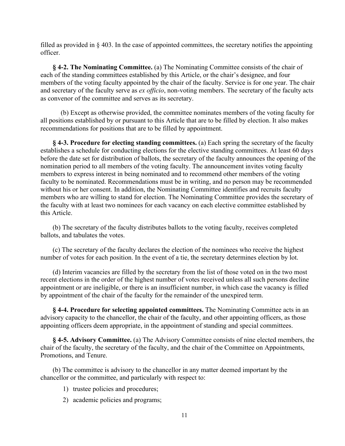filled as provided in § 403. In the case of appointed committees, the secretary notifies the appointing officer.

**§ 4-2. The Nominating Committee.** (a) The Nominating Committee consists of the chair of each of the standing committees established by this Article, or the chair's designee, and four members of the voting faculty appointed by the chair of the faculty. Service is for one year. The chair and secretary of the faculty serve as *ex officio*, non-voting members. The secretary of the faculty acts as convenor of the committee and serves as its secretary.

(b) Except as otherwise provided, the committee nominates members of the voting faculty for all positions established by or pursuant to this Article that are to be filled by election. It also makes recommendations for positions that are to be filled by appointment.

**§ 4-3. Procedure for electing standing committees.** (a) Each spring the secretary of the faculty establishes a schedule for conducting elections for the elective standing committees. At least 60 days before the date set for distribution of ballots, the secretary of the faculty announces the opening of the nomination period to all members of the voting faculty. The announcement invites voting faculty members to express interest in being nominated and to recommend other members of the voting faculty to be nominated. Recommendations must be in writing, and no person may be recommended without his or her consent. In addition, the Nominating Committee identifies and recruits faculty members who are willing to stand for election. The Nominating Committee provides the secretary of the faculty with at least two nominees for each vacancy on each elective committee established by this Article.

(b) The secretary of the faculty distributes ballots to the voting faculty, receives completed ballots, and tabulates the votes.

(c) The secretary of the faculty declares the election of the nominees who receive the highest number of votes for each position. In the event of a tie, the secretary determines election by lot.

(d) Interim vacancies are filled by the secretary from the list of those voted on in the two most recent elections in the order of the highest number of votes received unless all such persons decline appointment or are ineligible, or there is an insufficient number, in which case the vacancy is filled by appointment of the chair of the faculty for the remainder of the unexpired term.

**§ 4-4. Procedure for selecting appointed committees.** The Nominating Committee acts in an advisory capacity to the chancellor, the chair of the faculty, and other appointing officers, as those appointing officers deem appropriate, in the appointment of standing and special committees.

**§ 4-5. Advisory Committee.** (a) The Advisory Committee consists of nine elected members, the chair of the faculty, the secretary of the faculty, and the chair of the Committee on Appointments, Promotions, and Tenure.

(b) The committee is advisory to the chancellor in any matter deemed important by the chancellor or the committee, and particularly with respect to:

- 1) trustee policies and procedures;
- 2) academic policies and programs;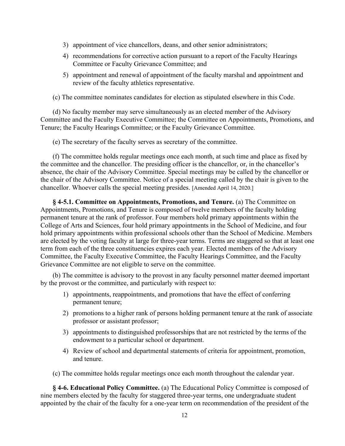- 3) appointment of vice chancellors, deans, and other senior administrators;
- 4) recommendations for corrective action pursuant to a report of the Faculty Hearings Committee or Faculty Grievance Committee; and
- 5) appointment and renewal of appointment of the faculty marshal and appointment and review of the faculty athletics representative.

(c) The committee nominates candidates for election as stipulated elsewhere in this Code.

(d) No faculty member may serve simultaneously as an elected member of the Advisory Committee and the Faculty Executive Committee; the Committee on Appointments, Promotions, and Tenure; the Faculty Hearings Committee; or the Faculty Grievance Committee.

(e) The secretary of the faculty serves as secretary of the committee.

(f) The committee holds regular meetings once each month, at such time and place as fixed by the committee and the chancellor. The presiding officer is the chancellor, or, in the chancellor's absence, the chair of the Advisory Committee. Special meetings may be called by the chancellor or the chair of the Advisory Committee. Notice of a special meeting called by the chair is given to the chancellor. Whoever calls the special meeting presides. [Amended April 14, 2020.]

**§ 4-5.1. Committee on Appointments, Promotions, and Tenure.** (a) The Committee on Appointments, Promotions, and Tenure is composed of twelve members of the faculty holding permanent tenure at the rank of professor. Four members hold primary appointments within the College of Arts and Sciences, four hold primary appointments in the School of Medicine, and four hold primary appointments within professional schools other than the School of Medicine. Members are elected by the voting faculty at large for three-year terms. Terms are staggered so that at least one term from each of the three constituencies expires each year. Elected members of the Advisory Committee, the Faculty Executive Committee, the Faculty Hearings Committee, and the Faculty Grievance Committee are not eligible to serve on the committee.

(b) The committee is advisory to the provost in any faculty personnel matter deemed important by the provost or the committee, and particularly with respect to:

- 1) appointments, reappointments, and promotions that have the effect of conferring permanent tenure;
- 2) promotions to a higher rank of persons holding permanent tenure at the rank of associate professor or assistant professor;
- 3) appointments to distinguished professorships that are not restricted by the terms of the endowment to a particular school or department.
- 4) Review of school and departmental statements of criteria for appointment, promotion, and tenure.

(c) The committee holds regular meetings once each month throughout the calendar year.

**§ 4-6. Educational Policy Committee.** (a) The Educational Policy Committee is composed of nine members elected by the faculty for staggered three-year terms, one undergraduate student appointed by the chair of the faculty for a one-year term on recommendation of the president of the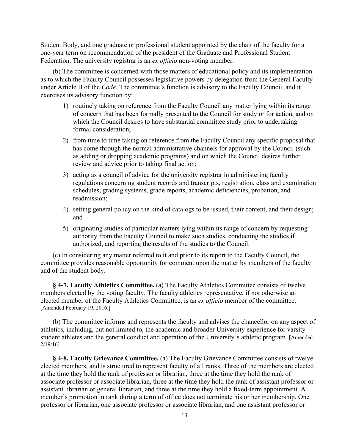Student Body, and one graduate or professional student appointed by the chair of the faculty for a one-year term on recommendation of the president of the Graduate and Professional Student Federation. The university registrar is an *ex officio* non-voting member.

(b) The committee is concerned with those matters of educational policy and its implementation as to which the Faculty Council possesses legislative powers by delegation from the General Faculty under Article II of the *Code*. The committee's function is advisory to the Faculty Council, and it exercises its advisory function by:

- 1) routinely taking on reference from the Faculty Council any matter lying within its range of concern that has been formally presented to the Council for study or for action, and on which the Council desires to have substantial committee study prior to undertaking formal consideration;
- 2) from time to time taking on reference from the Faculty Council any specific proposal that has come through the normal administrative channels for approval by the Council (such as adding or dropping academic programs) and on which the Council desires further review and advice prior to taking final action;
- 3) acting as a council of advice for the university registrar in administering faculty regulations concerning student records and transcripts, registration, class and examination schedules, grading systems, grade reports, academic deficiencies, probation, and readmission;
- 4) setting general policy on the kind of catalogs to be issued, their content, and their design; and
- 5) originating studies of particular matters lying within its range of concern by requesting authority from the Faculty Council to make such studies, conducting the studies if authorized, and reporting the results of the studies to the Council.

(c) In considering any matter referred to it and prior to its report to the Faculty Council, the committee provides reasonable opportunity for comment upon the matter by members of the faculty and of the student body.

**§ 4-7. Faculty Athletics Committee.** (a) The Faculty Athletics Committee consists of twelve members elected by the voting faculty. The faculty athletics representative, if not otherwise an elected member of the Faculty Athletics Committee, is an *ex officio* member of the committee. [Amended February 19, 2016.]

(b) The committee informs and represents the faculty and advises the chancellor on any aspect of athletics, including, but not limited to, the academic and broader University experience for varsity student athletes and the general conduct and operation of the University's athletic program. [Amended 2/19/16]

**§ 4-8. Faculty Grievance Committee.** (a) The Faculty Grievance Committee consists of twelve elected members, and is structured to represent faculty of all ranks. Three of the members are elected at the time they hold the rank of professor or librarian, three at the time they hold the rank of associate professor or associate librarian, three at the time they hold the rank of assistant professor or assistant librarian or general librarian, and three at the time they hold a fixed-term appointment. A member's promotion in rank during a term of office does not terminate his or her membership. One professor or librarian, one associate professor or associate librarian, and one assistant professor or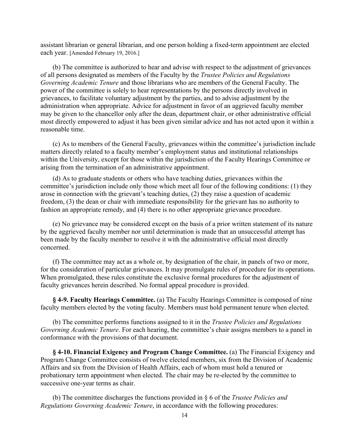assistant librarian or general librarian, and one person holding a fixed-term appointment are elected each year. [Amended February 19, 2016.]

(b) The committee is authorized to hear and advise with respect to the adjustment of grievances of all persons designated as members of the Faculty by the *Trustee Policies and Regulations Governing Academic Tenure* and those librarians who are members of the General Faculty. The power of the committee is solely to hear representations by the persons directly involved in grievances, to facilitate voluntary adjustment by the parties, and to advise adjustment by the administration when appropriate. Advice for adjustment in favor of an aggrieved faculty member may be given to the chancellor only after the dean, department chair, or other administrative official most directly empowered to adjust it has been given similar advice and has not acted upon it within a reasonable time.

(c) As to members of the General Faculty, grievances within the committee's jurisdiction include matters directly related to a faculty member's employment status and institutional relationships within the University, except for those within the jurisdiction of the Faculty Hearings Committee or arising from the termination of an administrative appointment.

(d) As to graduate students or others who have teaching duties, grievances within the committee's jurisdiction include only those which meet all four of the following conditions: (1) they arose in connection with the grievant's teaching duties, (2) they raise a question of academic freedom, (3) the dean or chair with immediate responsibility for the grievant has no authority to fashion an appropriate remedy, and (4) there is no other appropriate grievance procedure.

(e) No grievance may be considered except on the basis of a prior written statement of its nature by the aggrieved faculty member nor until determination is made that an unsuccessful attempt has been made by the faculty member to resolve it with the administrative official most directly concerned.

(f) The committee may act as a whole or, by designation of the chair, in panels of two or more, for the consideration of particular grievances. It may promulgate rules of procedure for its operations. When promulgated, these rules constitute the exclusive formal procedures for the adjustment of faculty grievances herein described. No formal appeal procedure is provided.

**§ 4-9. Faculty Hearings Committee.** (a) The Faculty Hearings Committee is composed of nine faculty members elected by the voting faculty. Members must hold permanent tenure when elected.

(b) The committee performs functions assigned to it in the *Trustee Policies and Regulations Governing Academic Tenure*. For each hearing, the committee's chair assigns members to a panel in conformance with the provisions of that document.

**§ 4-10. Financial Exigency and Program Change Committee.** (a) The Financial Exigency and Program Change Committee consists of twelve elected members, six from the Division of Academic Affairs and six from the Division of Health Affairs, each of whom must hold a tenured or probationary term appointment when elected. The chair may be re-elected by the committee to successive one-year terms as chair.

(b) The committee discharges the functions provided in § 6 of the *Trustee Policies and Regulations Governing Academic Tenure*, in accordance with the following procedures: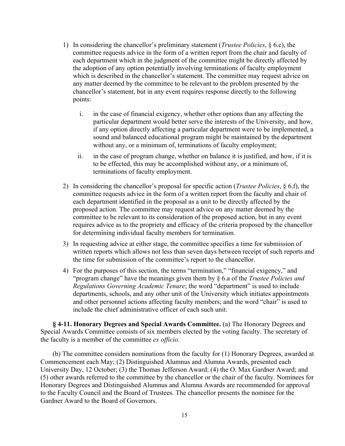- 1) In considering the chancellor's preliminary statement (*Trustee Policies*, § 6.c), the committee requests advice in the form of a written report from the chair and faculty of each department which in the judgment of the committee might be directly affected by the adoption of any option potentially involving terminations of faculty employment which is described in the chancellor's statement. The committee may request advice on any matter deemed by the committee to be relevant to the problem presented by the chancellor's statement, but in any event requires response directly to the following points:
	- i. in the case of financial exigency, whether other options than any affecting the particular department would better serve the interests of the University, and how, if any option directly affecting a particular department were to be implemented, a sound and balanced educational program might be maintained by the department without any, or a minimum of, terminations of faculty employment;
	- ii. in the case of program change, whether on balance it is justified, and how, if it is to be effected, this may be accomplished without any, or a minimum of, terminations of faculty employment.
- 2) In considering the chancellor's proposal for specific action (*Trustee Policies*, § 6.f), the committee requests advice in the form of a written report from the faculty and chair of each department identified in the proposal as a unit to be directly affected by the proposed action. The committee may request advice on any matter deemed by the committee to be relevant to its consideration of the proposed action, but in any event requires advice as to the propriety and efficacy of the criteria proposed by the chancellor for determining individual faculty members for termination.
- 3) In requesting advice at either stage, the committee specifies a time for submission of written reports which allows not less than seven days between receipt of such reports and the time for submission of the committee's report to the chancellor.
- 4) For the purposes of this section, the terms "termination," "financial exigency," and "program change" have the meanings given them by § 6.a of the *Trustee Policies and Regulations Governing Academic Tenure*; the word "department" is used to include departments, schools, and any other unit of the University which initiates appointments and other personnel actions affecting faculty members; and the word "chair" is used to include the chief administrative officer of each such unit.

**§ 4-11. Honorary Degrees and Special Awards Committee.** (a) The Honorary Degrees and Special Awards Committee consists of six members elected by the voting faculty. The secretary of the faculty is a member of the committee *ex officio*.

(b) The committee considers nominations from the faculty for (1) Honorary Degrees, awarded at Commencement each May; (2) Distinguished Alumnus and Alumna Awards, presented each University Day, 12 October; (3) the Thomas Jefferson Award; (4) the O. Max Gardner Award; and (5) other awards referred to the committee by the chancellor or the chair of the faculty. Nominees for Honorary Degrees and Distinguished Alumnus and Alumna Awards are recommended for approval to the Faculty Council and the Board of Trustees. The chancellor presents the nominee for the Gardner Award to the Board of Governors.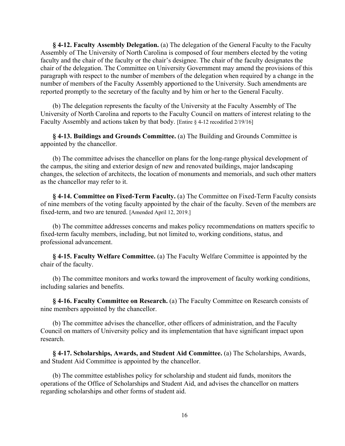**§ 4-12. Faculty Assembly Delegation.** (a) The delegation of the General Faculty to the Faculty Assembly of The University of North Carolina is composed of four members elected by the voting faculty and the chair of the faculty or the chair's designee. The chair of the faculty designates the chair of the delegation. The Committee on University Government may amend the provisions of this paragraph with respect to the number of members of the delegation when required by a change in the number of members of the Faculty Assembly apportioned to the University. Such amendments are reported promptly to the secretary of the faculty and by him or her to the General Faculty.

(b) The delegation represents the faculty of the University at the Faculty Assembly of The University of North Carolina and reports to the Faculty Council on matters of interest relating to the Faculty Assembly and actions taken by that body. [Entire § 4-12 recodified 2/19/16]

**§ 4-13. Buildings and Grounds Committee.** (a) The Building and Grounds Committee is appointed by the chancellor.

(b) The committee advises the chancellor on plans for the long-range physical development of the campus, the siting and exterior design of new and renovated buildings, major landscaping changes, the selection of architects, the location of monuments and memorials, and such other matters as the chancellor may refer to it.

**§ 4-14. Committee on Fixed-Term Faculty.** (a) The Committee on Fixed-Term Faculty consists of nine members of the voting faculty appointed by the chair of the faculty. Seven of the members are fixed-term, and two are tenured. [Amended April 12, 2019.]

(b) The committee addresses concerns and makes policy recommendations on matters specific to fixed-term faculty members, including, but not limited to, working conditions, status, and professional advancement.

**§ 4-15. Faculty Welfare Committee.** (a) The Faculty Welfare Committee is appointed by the chair of the faculty.

(b) The committee monitors and works toward the improvement of faculty working conditions, including salaries and benefits.

**§ 4-16. Faculty Committee on Research.** (a) The Faculty Committee on Research consists of nine members appointed by the chancellor.

(b) The committee advises the chancellor, other officers of administration, and the Faculty Council on matters of University policy and its implementation that have significant impact upon research.

**§ 4-17. Scholarships, Awards, and Student Aid Committee.** (a) The Scholarships, Awards, and Student Aid Committee is appointed by the chancellor.

(b) The committee establishes policy for scholarship and student aid funds, monitors the operations of the Office of Scholarships and Student Aid, and advises the chancellor on matters regarding scholarships and other forms of student aid.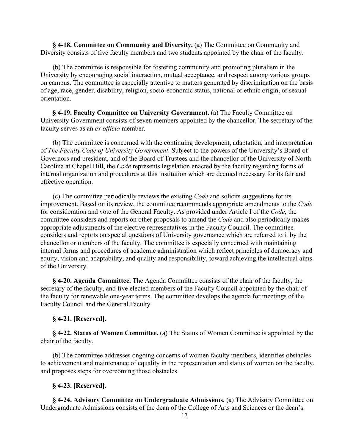**§ 4-18. Committee on Community and Diversity.** (a) The Committee on Community and Diversity consists of five faculty members and two students appointed by the chair of the faculty.

(b) The committee is responsible for fostering community and promoting pluralism in the University by encouraging social interaction, mutual acceptance, and respect among various groups on campus. The committee is especially attentive to matters generated by discrimination on the basis of age, race, gender, disability, religion, socio-economic status, national or ethnic origin, or sexual orientation.

**§ 4-19. Faculty Committee on University Government.** (a) The Faculty Committee on University Government consists of seven members appointed by the chancellor. The secretary of the faculty serves as an *ex officio* member.

(b) The committee is concerned with the continuing development, adaptation, and interpretation of *The Faculty Code of University Government*. Subject to the powers of the University's Board of Governors and president, and of the Board of Trustees and the chancellor of the University of North Carolina at Chapel Hill, the *Code* represents legislation enacted by the faculty regarding forms of internal organization and procedures at this institution which are deemed necessary for its fair and effective operation.

(c) The committee periodically reviews the existing *Code* and solicits suggestions for its improvement. Based on its review, the committee recommends appropriate amendments to the *Code* for consideration and vote of the General Faculty. As provided under Article I of the *Code*, the committee considers and reports on other proposals to amend the *Code* and also periodically makes appropriate adjustments of the elective representatives in the Faculty Council. The committee considers and reports on special questions of University governance which are referred to it by the chancellor or members of the faculty. The committee is especially concerned with maintaining internal forms and procedures of academic administration which reflect principles of democracy and equity, vision and adaptability, and quality and responsibility, toward achieving the intellectual aims of the University.

**§ 4-20. Agenda Committee.** The Agenda Committee consists of the chair of the faculty, the secretary of the faculty, and five elected members of the Faculty Council appointed by the chair of the faculty for renewable one-year terms. The committee develops the agenda for meetings of the Faculty Council and the General Faculty.

#### **§ 4-21. [Reserved].**

**§ 4-22. Status of Women Committee.** (a) The Status of Women Committee is appointed by the chair of the faculty.

(b) The committee addresses ongoing concerns of women faculty members, identifies obstacles to achievement and maintenance of equality in the representation and status of women on the faculty, and proposes steps for overcoming those obstacles.

#### **§ 4-23. [Reserved].**

**§ 4-24. Advisory Committee on Undergraduate Admissions.** (a) The Advisory Committee on Undergraduate Admissions consists of the dean of the College of Arts and Sciences or the dean's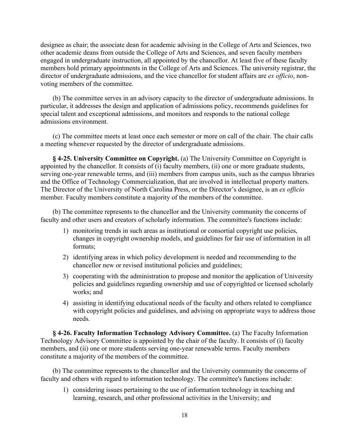designee as chair; the associate dean for academic advising in the College of Arts and Sciences, two other academic deans from outside the College of Arts and Sciences, and seven faculty members engaged in undergraduate instruction, all appointed by the chancellor. At least five of these faculty members hold primary appointments in the College of Arts and Sciences. The university registrar, the director of undergraduate admissions, and the vice chancellor for student affairs are *ex officio*, nonvoting members of the committee.

(b) The committee serves in an advisory capacity to the director of undergraduate admissions. In particular, it addresses the design and application of admissions policy, recommends guidelines for special talent and exceptional admissions, and monitors and responds to the national college admissions environment.

(c) The committee meets at least once each semester or more on call of the chair. The chair calls a meeting whenever requested by the director of undergraduate admissions.

**§ 4-25. University Committee on Copyright.** (a) The University Committee on Copyright is appointed by the chancellor. It consists of (i) faculty members, (ii) one or more graduate students, serving one-year renewable terms, and (iii) members from campus units, such as the campus libraries and the Office of Technology Commercialization, that are involved in intellectual property matters. The Director of the University of North Carolina Press, or the Director's designee, is an *ex officio* member. Faculty members constitute a majority of the members of the committee.

(b) The committee represents to the chancellor and the University community the concerns of faculty and other users and creators of scholarly information. The committee's functions include:

- 1) monitoring trends in such areas as institutional or consortial copyright use policies, changes in copyright ownership models, and guidelines for fair use of information in all formats;
- 2) identifying areas in which policy development is needed and recommending to the chancellor new or revised institutional policies and guidelines;
- 3) cooperating with the administration to propose and monitor the application of University policies and guidelines regarding ownership and use of copyrighted or licensed scholarly works; and
- 4) assisting in identifying educational needs of the faculty and others related to compliance with copyright policies and guidelines, and advising on appropriate ways to address those needs.

**§ 4-26. Faculty Information Technology Advisory Committee.** (a) The Faculty Information Technology Advisory Committee is appointed by the chair of the faculty. It consists of (i) faculty members, and (ii) one or more students serving one-year renewable terms. Faculty members constitute a majority of the members of the committee.

(b) The committee represents to the chancellor and the University community the concerns of faculty and others with regard to information technology. The committee's functions include:

1) considering issues pertaining to the use of information technology in teaching and learning, research, and other professional activities in the University; and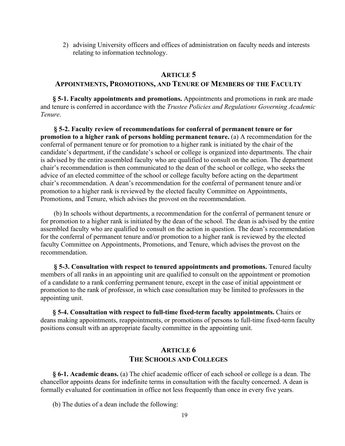2) advising University officers and offices of administration on faculty needs and interests relating to information technology.

## **ARTICLE 5**

## **APPOINTMENTS, PROMOTIONS, AND TENURE OF MEMBERS OF THE FACULTY**

**§ 5-1. Faculty appointments and promotions.** Appointments and promotions in rank are made and tenure is conferred in accordance with the *Trustee Policies and Regulations Governing Academic Tenure*.

**§ 5-2. Faculty review of recommendations for conferral of permanent tenure or for promotion to a higher rank of persons holding permanent tenure.** (a) A recommendation for the conferral of permanent tenure or for promotion to a higher rank is initiated by the chair of the candidate's department, if the candidate's school or college is organized into departments. The chair is advised by the entire assembled faculty who are qualified to consult on the action. The department chair's recommendation is then communicated to the dean of the school or college, who seeks the advice of an elected committee of the school or college faculty before acting on the department chair's recommendation. A dean's recommendation for the conferral of permanent tenure and/or promotion to a higher rank is reviewed by the elected faculty Committee on Appointments, Promotions, and Tenure, which advises the provost on the recommendation.

(b) In schools without departments, a recommendation for the conferral of permanent tenure or for promotion to a higher rank is initiated by the dean of the school. The dean is advised by the entire assembled faculty who are qualified to consult on the action in question. The dean's recommendation for the conferral of permanent tenure and/or promotion to a higher rank is reviewed by the elected faculty Committee on Appointments, Promotions, and Tenure, which advises the provost on the recommendation.

**§ 5-3. Consultation with respect to tenured appointments and promotions.** Tenured faculty members of all ranks in an appointing unit are qualified to consult on the appointment or promotion of a candidate to a rank conferring permanent tenure, except in the case of initial appointment or promotion to the rank of professor, in which case consultation may be limited to professors in the appointing unit.

**§ 5-4. Consultation with respect to full-time fixed-term faculty appointments.** Chairs or deans making appointments, reappointments, or promotions of persons to full-time fixed-term faculty positions consult with an appropriate faculty committee in the appointing unit.

## **ARTICLE 6 THE SCHOOLS AND COLLEGES**

**§ 6-1. Academic deans.** (a) The chief academic officer of each school or college is a dean. The chancellor appoints deans for indefinite terms in consultation with the faculty concerned. A dean is formally evaluated for continuation in office not less frequently than once in every five years.

(b) The duties of a dean include the following: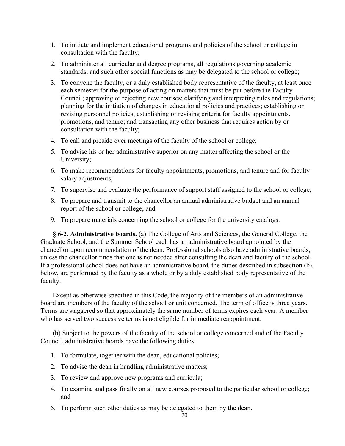- 1. To initiate and implement educational programs and policies of the school or college in consultation with the faculty;
- 2. To administer all curricular and degree programs, all regulations governing academic standards, and such other special functions as may be delegated to the school or college;
- 3. To convene the faculty, or a duly established body representative of the faculty, at least once each semester for the purpose of acting on matters that must be put before the Faculty Council; approving or rejecting new courses; clarifying and interpreting rules and regulations; planning for the initiation of changes in educational policies and practices; establishing or revising personnel policies; establishing or revising criteria for faculty appointments, promotions, and tenure; and transacting any other business that requires action by or consultation with the faculty;
- 4. To call and preside over meetings of the faculty of the school or college;
- 5. To advise his or her administrative superior on any matter affecting the school or the University;
- 6. To make recommendations for faculty appointments, promotions, and tenure and for faculty salary adjustments;
- 7. To supervise and evaluate the performance of support staff assigned to the school or college;
- 8. To prepare and transmit to the chancellor an annual administrative budget and an annual report of the school or college; and
- 9. To prepare materials concerning the school or college for the university catalogs.

**§ 6-2. Administrative boards.** (a) The College of Arts and Sciences, the General College, the Graduate School, and the Summer School each has an administrative board appointed by the chancellor upon recommendation of the dean. Professional schools also have administrative boards, unless the chancellor finds that one is not needed after consulting the dean and faculty of the school. If a professional school does not have an administrative board, the duties described in subsection (b), below, are performed by the faculty as a whole or by a duly established body representative of the faculty.

Except as otherwise specified in this Code, the majority of the members of an administrative board are members of the faculty of the school or unit concerned. The term of office is three years. Terms are staggered so that approximately the same number of terms expires each year. A member who has served two successive terms is not eligible for immediate reappointment.

(b) Subject to the powers of the faculty of the school or college concerned and of the Faculty Council, administrative boards have the following duties:

- 1. To formulate, together with the dean, educational policies;
- 2. To advise the dean in handling administrative matters;
- 3. To review and approve new programs and curricula;
- 4. To examine and pass finally on all new courses proposed to the particular school or college; and
- 5. To perform such other duties as may be delegated to them by the dean.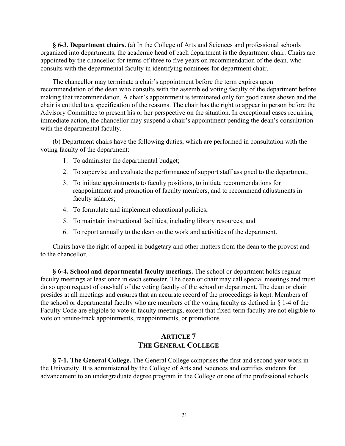**§ 6-3. Department chairs.** (a) In the College of Arts and Sciences and professional schools organized into departments, the academic head of each department is the department chair. Chairs are appointed by the chancellor for terms of three to five years on recommendation of the dean, who consults with the departmental faculty in identifying nominees for department chair.

The chancellor may terminate a chair's appointment before the term expires upon recommendation of the dean who consults with the assembled voting faculty of the department before making that recommendation. A chair's appointment is terminated only for good cause shown and the chair is entitled to a specification of the reasons. The chair has the right to appear in person before the Advisory Committee to present his or her perspective on the situation. In exceptional cases requiring immediate action, the chancellor may suspend a chair's appointment pending the dean's consultation with the departmental faculty.

(b) Department chairs have the following duties, which are performed in consultation with the voting faculty of the department:

- 1. To administer the departmental budget;
- 2. To supervise and evaluate the performance of support staff assigned to the department;
- 3. To initiate appointments to faculty positions, to initiate recommendations for reappointment and promotion of faculty members, and to recommend adjustments in faculty salaries;
- 4. To formulate and implement educational policies;
- 5. To maintain instructional facilities, including library resources; and
- 6. To report annually to the dean on the work and activities of the department.

Chairs have the right of appeal in budgetary and other matters from the dean to the provost and to the chancellor.

**§ 6-4. School and departmental faculty meetings.** The school or department holds regular faculty meetings at least once in each semester. The dean or chair may call special meetings and must do so upon request of one-half of the voting faculty of the school or department. The dean or chair presides at all meetings and ensures that an accurate record of the proceedings is kept. Members of the school or departmental faculty who are members of the voting faculty as defined in § 1-4 of the Faculty Code are eligible to vote in faculty meetings, except that fixed-term faculty are not eligible to vote on tenure-track appointments, reappointments, or promotions

# **ARTICLE 7 THE GENERAL COLLEGE**

**§ 7-1. The General College.** The General College comprises the first and second year work in the University. It is administered by the College of Arts and Sciences and certifies students for advancement to an undergraduate degree program in the College or one of the professional schools.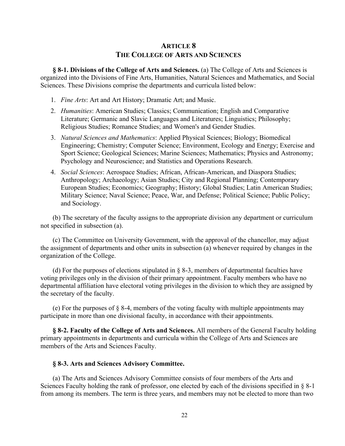# **ARTICLE 8 THE COLLEGE OF ARTS AND SCIENCES**

**§ 8-1. Divisions of the College of Arts and Sciences.** (a) The College of Arts and Sciences is organized into the Divisions of Fine Arts, Humanities, Natural Sciences and Mathematics, and Social Sciences. These Divisions comprise the departments and curricula listed below:

- 1. *Fine Arts*: Art and Art History; Dramatic Art; and Music.
- 2. *Humanities*: American Studies; Classics; Communication; English and Comparative Literature; Germanic and Slavic Languages and Literatures; Linguistics; Philosophy; Religious Studies; Romance Studies; and Women's and Gender Studies.
- 3. *Natural Sciences and Mathematics*: Applied Physical Sciences; Biology; Biomedical Engineering; Chemistry; Computer Science; Environment, Ecology and Energy; Exercise and Sport Science; Geological Sciences; Marine Sciences; Mathematics; Physics and Astronomy; Psychology and Neuroscience; and Statistics and Operations Research.
- 4. *Social Sciences*: Aerospace Studies; African, African-American, and Diaspora Studies; Anthropology; Archaeology; Asian Studies; City and Regional Planning; Contemporary European Studies; Economics; Geography; History; Global Studies; Latin American Studies; Military Science; Naval Science; Peace, War, and Defense; Political Science; Public Policy; and Sociology.

(b) The secretary of the faculty assigns to the appropriate division any department or curriculum not specified in subsection (a).

(c) The Committee on University Government, with the approval of the chancellor, may adjust the assignment of departments and other units in subsection (a) whenever required by changes in the organization of the College.

(d) For the purposes of elections stipulated in  $\S$  8-3, members of departmental faculties have voting privileges only in the division of their primary appointment. Faculty members who have no departmental affiliation have electoral voting privileges in the division to which they are assigned by the secretary of the faculty.

(e) For the purposes of  $\S$  8-4, members of the voting faculty with multiple appointments may participate in more than one divisional faculty, in accordance with their appointments.

**§ 8-2. Faculty of the College of Arts and Sciences.** All members of the General Faculty holding primary appointments in departments and curricula within the College of Arts and Sciences are members of the Arts and Sciences Faculty.

## **§ 8-3. Arts and Sciences Advisory Committee.**

(a) The Arts and Sciences Advisory Committee consists of four members of the Arts and Sciences Faculty holding the rank of professor, one elected by each of the divisions specified in § 8-1 from among its members. The term is three years, and members may not be elected to more than two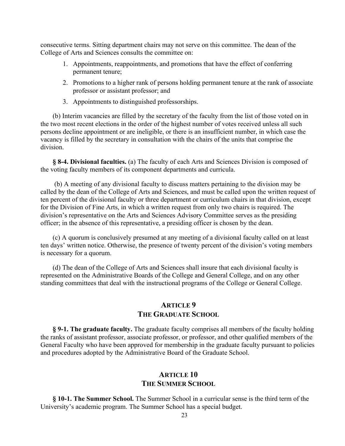consecutive terms. Sitting department chairs may not serve on this committee. The dean of the College of Arts and Sciences consults the committee on:

- 1. Appointments, reappointments, and promotions that have the effect of conferring permanent tenure;
- 2. Promotions to a higher rank of persons holding permanent tenure at the rank of associate professor or assistant professor; and
- 3. Appointments to distinguished professorships.

(b) Interim vacancies are filled by the secretary of the faculty from the list of those voted on in the two most recent elections in the order of the highest number of votes received unless all such persons decline appointment or are ineligible, or there is an insufficient number, in which case the vacancy is filled by the secretary in consultation with the chairs of the units that comprise the division.

**§ 8-4. Divisional faculties.** (a) The faculty of each Arts and Sciences Division is composed of the voting faculty members of its component departments and curricula.

(b) A meeting of any divisional faculty to discuss matters pertaining to the division may be called by the dean of the College of Arts and Sciences, and must be called upon the written request of ten percent of the divisional faculty or three department or curriculum chairs in that division, except for the Division of Fine Arts, in which a written request from only two chairs is required. The division's representative on the Arts and Sciences Advisory Committee serves as the presiding officer; in the absence of this representative, a presiding officer is chosen by the dean.

(c) A quorum is conclusively presumed at any meeting of a divisional faculty called on at least ten days' written notice. Otherwise, the presence of twenty percent of the division's voting members is necessary for a quorum.

(d) The dean of the College of Arts and Sciences shall insure that each divisional faculty is represented on the Administrative Boards of the College and General College, and on any other standing committees that deal with the instructional programs of the College or General College.

# **ARTICLE 9 THE GRADUATE SCHOOL**

**§ 9-1. The graduate faculty.** The graduate faculty comprises all members of the faculty holding the ranks of assistant professor, associate professor, or professor, and other qualified members of the General Faculty who have been approved for membership in the graduate faculty pursuant to policies and procedures adopted by the Administrative Board of the Graduate School.

## **ARTICLE 10 THE SUMMER SCHOOL**

**§ 10-1. The Summer School.** The Summer School in a curricular sense is the third term of the University's academic program. The Summer School has a special budget.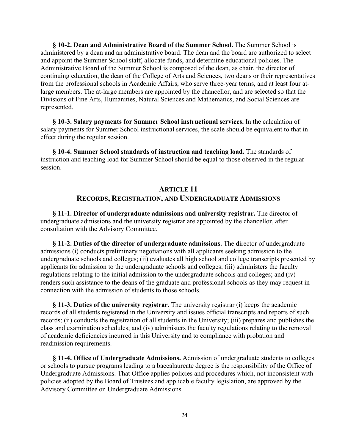**§ 10-2. Dean and Administrative Board of the Summer School.** The Summer School is administered by a dean and an administrative board. The dean and the board are authorized to select and appoint the Summer School staff, allocate funds, and determine educational policies. The Administrative Board of the Summer School is composed of the dean, as chair, the director of continuing education, the dean of the College of Arts and Sciences, two deans or their representatives from the professional schools in Academic Affairs, who serve three-year terms, and at least four atlarge members. The at-large members are appointed by the chancellor, and are selected so that the Divisions of Fine Arts, Humanities, Natural Sciences and Mathematics, and Social Sciences are represented.

**§ 10-3. Salary payments for Summer School instructional services.** In the calculation of salary payments for Summer School instructional services, the scale should be equivalent to that in effect during the regular session.

**§ 10-4. Summer School standards of instruction and teaching load.** The standards of instruction and teaching load for Summer School should be equal to those observed in the regular session.

## **ARTICLE 11**

## **RECORDS, REGISTRATION, AND UNDERGRADUATE ADMISSIONS**

**§ 11-1. Director of undergraduate admissions and university registrar.** The director of undergraduate admissions and the university registrar are appointed by the chancellor, after consultation with the Advisory Committee.

**§ 11-2. Duties of the director of undergraduate admissions.** The director of undergraduate admissions (i) conducts preliminary negotiations with all applicants seeking admission to the undergraduate schools and colleges; (ii) evaluates all high school and college transcripts presented by applicants for admission to the undergraduate schools and colleges; (iii) administers the faculty regulations relating to the initial admission to the undergraduate schools and colleges; and (iv) renders such assistance to the deans of the graduate and professional schools as they may request in connection with the admission of students to those schools.

**§ 11-3. Duties of the university registrar.** The university registrar (i) keeps the academic records of all students registered in the University and issues official transcripts and reports of such records; (ii) conducts the registration of all students in the University; (iii) prepares and publishes the class and examination schedules; and (iv) administers the faculty regulations relating to the removal of academic deficiencies incurred in this University and to compliance with probation and readmission requirements.

**§ 11-4. Office of Undergraduate Admissions.** Admission of undergraduate students to colleges or schools to pursue programs leading to a baccalaureate degree is the responsibility of the Office of Undergraduate Admissions. That Office applies policies and procedures which, not inconsistent with policies adopted by the Board of Trustees and applicable faculty legislation, are approved by the Advisory Committee on Undergraduate Admissions.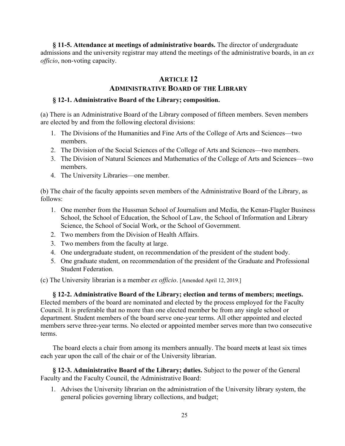**§ 11-5. Attendance at meetings of administrative boards.** The director of undergraduate admissions and the university registrar may attend the meetings of the administrative boards, in an *ex officio*, non-voting capacity.

# **ARTICLE 12**

# **ADMINISTRATIVE BOARD OF THE LIBRARY**

## **§ 12-1. Administrative Board of the Library; composition.**

(a) There is an Administrative Board of the Library composed of fifteen members. Seven members are elected by and from the following electoral divisions:

- 1. The Divisions of the Humanities and Fine Arts of the College of Arts and Sciences—two members.
- 2. The Division of the Social Sciences of the College of Arts and Sciences—two members.
- 3. The Division of Natural Sciences and Mathematics of the College of Arts and Sciences—two members.
- 4. The University Libraries—one member.

(b) The chair of the faculty appoints seven members of the Administrative Board of the Library, as follows:

- 1. One member from the Hussman School of Journalism and Media, the Kenan-Flagler Business School, the School of Education, the School of Law, the School of Information and Library Science, the School of Social Work, or the School of Government.
- 2. Two members from the Division of Health Affairs.
- 3. Two members from the faculty at large.
- 4. One undergraduate student, on recommendation of the president of the student body.
- 5. One graduate student, on recommendation of the president of the Graduate and Professional Student Federation.

(c) The University librarian is a member *ex officio*. [Amended April 12, 2019.]

**§ 12-2. Administrative Board of the Library; election and terms of members; meetings.**  Elected members of the board are nominated and elected by the process employed for the Faculty Council. It is preferable that no more than one elected member be from any single school or department. Student members of the board serve one-year terms. All other appointed and elected members serve three-year terms. No elected or appointed member serves more than two consecutive terms.

The board elects a chair from among its members annually. The board meet**s** at least six times each year upon the call of the chair or of the University librarian.

**§ 12-3. Administrative Board of the Library; duties.** Subject to the power of the General Faculty and the Faculty Council, the Administrative Board:

1. Advises the University librarian on the administration of the University library system, the general policies governing library collections, and budget;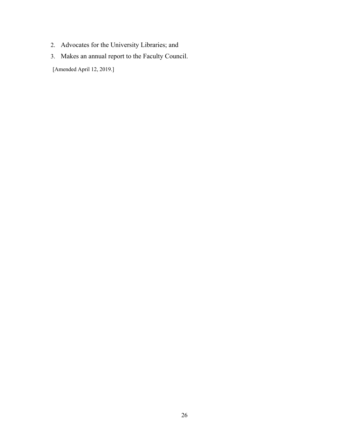- 2. Advocates for the University Libraries; and
- 3. Makes an annual report to the Faculty Council.

[Amended April 12, 2019.]